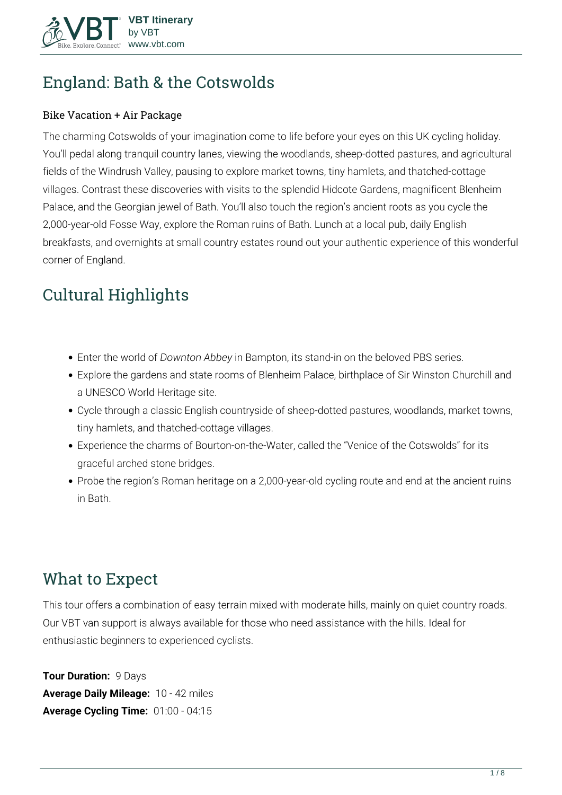

# **England: Bath & the Cotswolds**

#### Bike Vacation + Air Package

The charming Cotswolds of your imagination come to life before your eyes on this UK cycling holiday. You'll pedal along tranquil country lanes, viewing the woodlands, sheep-dotted pastures, and agricultural fields of the Windrush Valley, pausing to explore market towns, tiny hamlets, and thatched-cottage villages. Contrast these discoveries with visits to the splendid Hidcote Gardens, magnificent Blenheim Palace, and the Georgian jewel of Bath. You'll also touch the region's ancient roots as you cycle the 2,000-year-old Fosse Way, explore the Roman ruins of Bath. Lunch at a local pub, daily English breakfasts, and overnights at small country estates round out your authentic experience of this wonderful corner of England.

# **Cultural Highlights**

- Enter the world of *Downton Abbey* in Bampton, its stand-in on the beloved PBS series.
- Explore the gardens and state rooms of Blenheim Palace, birthplace of Sir Winston Churchill and a UNESCO World Heritage site.
- Cycle through a classic English countryside of sheep-dotted pastures, woodlands, market towns, tiny hamlets, and thatched-cottage villages.
- Experience the charms of Bourton-on-the-Water, called the "Venice of the Cotswolds" for its graceful arched stone bridges.
- Probe the region's Roman heritage on a 2,000-year-old cycling route and end at the ancient ruins in Bath.

# **What to Expect**

This tour offers a combination of easy terrain mixed with moderate hills, mainly on quiet country roads. Our VBT van support is always available for those who need assistance with the hills. Ideal for enthusiastic beginners to experienced cyclists.

**Tour Duration:** 9 Days **Average Daily Mileage:** 10 - 42 miles **Average Cycling Time:** 01:00 - 04:15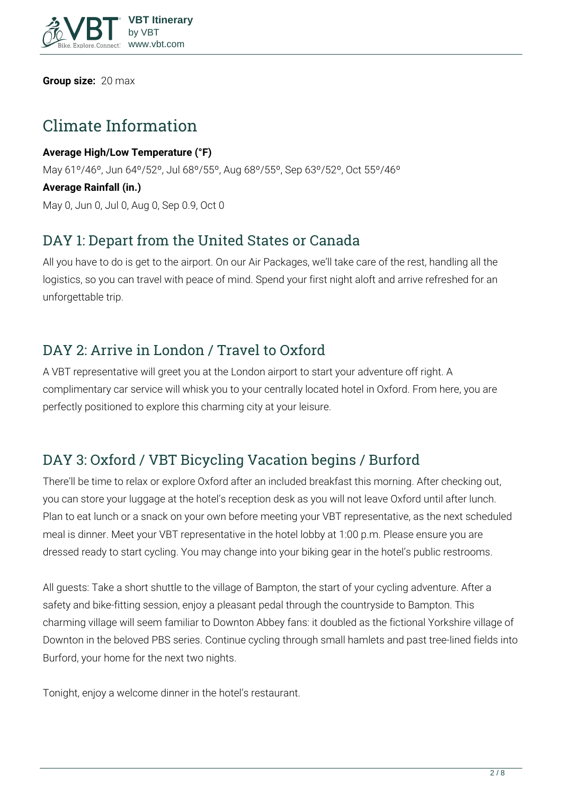

**Group size:** 20 max

# **Climate Information**

**Average High/Low Temperature (°F)** May 61º/46º, Jun 64º/52º, Jul 68º/55º, Aug 68º/55º, Sep 63º/52º, Oct 55º/46º **Average Rainfall (in.)** May 0, Jun 0, Jul 0, Aug 0, Sep 0.9, Oct 0

## **DAY 1: Depart from the United States or Canada**

All you have to do is get to the airport. On our Air Packages, we'll take care of the rest, handling all the logistics, so you can travel with peace of mind. Spend your first night aloft and arrive refreshed for an unforgettable trip.

### **DAY 2: Arrive in London / Travel to Oxford**

A VBT representative will greet you at the London airport to start your adventure off right. A complimentary car service will whisk you to your centrally located hotel in Oxford. From here, you are perfectly positioned to explore this charming city at your leisure.

## **DAY 3: Oxford / VBT Bicycling Vacation begins / Burford**

There'll be time to relax or explore Oxford after an included breakfast this morning. After checking out, you can store your luggage at the hotel's reception desk as you will not leave Oxford until after lunch. Plan to eat lunch or a snack on your own before meeting your VBT representative, as the next scheduled meal is dinner. Meet your VBT representative in the hotel lobby at 1:00 p.m. Please ensure you are dressed ready to start cycling. You may change into your biking gear in the hotel's public restrooms.

All guests: Take a short shuttle to the village of Bampton, the start of your cycling adventure. After a safety and bike-fitting session, enjoy a pleasant pedal through the countryside to Bampton. This charming village will seem familiar to Downton Abbey fans: it doubled as the fictional Yorkshire village of Downton in the beloved PBS series. Continue cycling through small hamlets and past tree-lined fields into Burford, your home for the next two nights.

Tonight, enjoy a welcome dinner in the hotel's restaurant.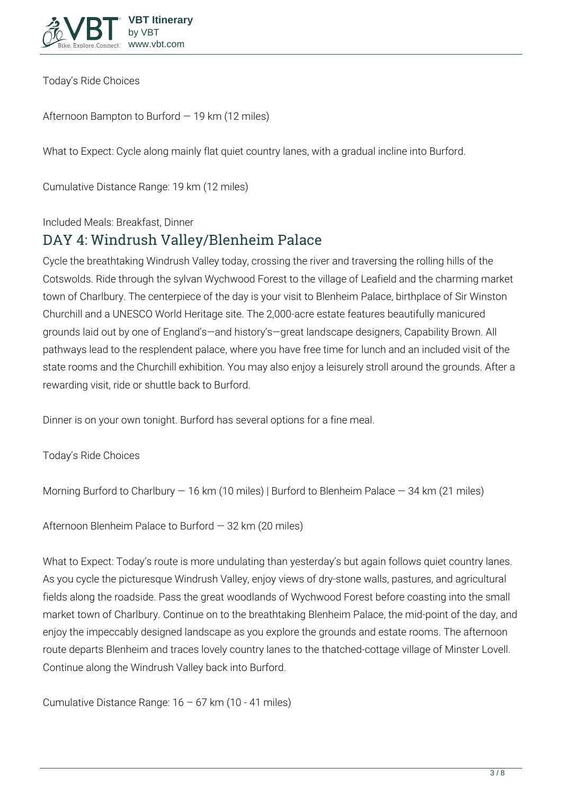

**Today's Ride Choices**

**Afternoon** Bampton to Burford — 19 km (12 miles)

**What to Expect:** Cycle along mainly flat quiet country lanes, with a gradual incline into Burford.

**Cumulative Distance Range:** 19 km (12 miles)

**Included Meals:** Breakfast, Dinner

#### **DAY 4: Windrush Valley/Blenheim Palace**

Cycle the breathtaking Windrush Valley today, crossing the river and traversing the rolling hills of the Cotswolds. Ride through the sylvan Wychwood Forest to the village of Leafield and the charming market town of Charlbury. The centerpiece of the day is your visit to Blenheim Palace, birthplace of Sir Winston Churchill and a UNESCO World Heritage site. The 2,000-acre estate features beautifully manicured grounds laid out by one of England's—and history's—great landscape designers, Capability Brown. All pathways lead to the resplendent palace, where you have free time for lunch and an included visit of the state rooms and the Churchill exhibition. You may also enjoy a leisurely stroll around the grounds. After a rewarding visit, ride or shuttle back to Burford.

Dinner is on your own tonight. Burford has several options for a fine meal.

**Today's Ride Choices**

**Morning** Burford to Charlbury — 16 km (10 miles) | Burford to Blenheim Palace — 34 km (21 miles)

**Afternoon** Blenheim Palace to Burford — 32 km (20 miles)

**What to Expect:** Today's route is more undulating than yesterday's but again follows quiet country lanes. As you cycle the picturesque Windrush Valley, enjoy views of dry-stone walls, pastures, and agricultural fields along the roadside. Pass the great woodlands of Wychwood Forest before coasting into the small market town of Charlbury. Continue on to the breathtaking Blenheim Palace, the mid-point of the day, and enjoy the impeccably designed landscape as you explore the grounds and estate rooms. The afternoon route departs Blenheim and traces lovely country lanes to the thatched-cottage village of Minster Lovell. Continue along the Windrush Valley back into Burford.

**Cumulative Distance Range:** 16 – 67 km (10 - 41 miles)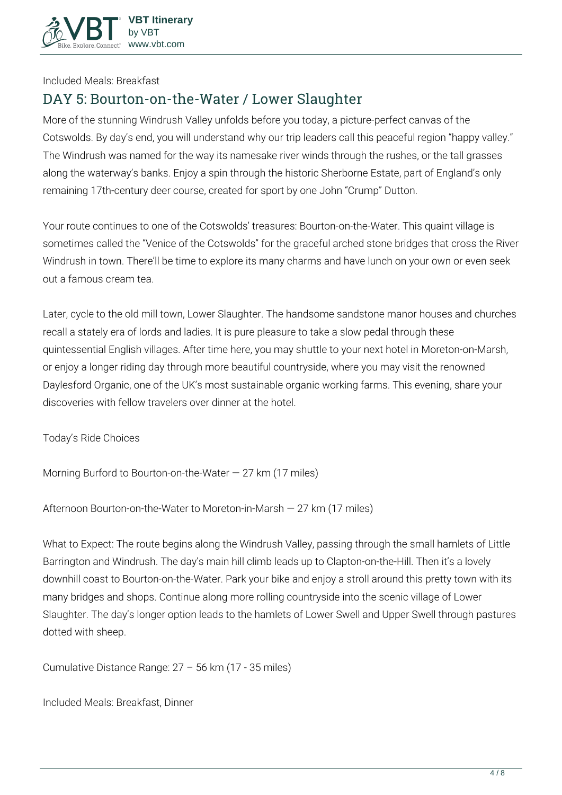

**Included Meals:** Breakfast

#### **DAY 5: Bourton-on-the-Water / Lower Slaughter**

More of the stunning Windrush Valley unfolds before you today, a picture-perfect canvas of the Cotswolds. By day's end, you will understand why our trip leaders call this peaceful region "happy valley." The Windrush was named for the way its namesake river winds through the rushes, or the tall grasses along the waterway's banks. Enjoy a spin through the historic Sherborne Estate, part of England's only remaining 17th-century deer course, created for sport by one John "Crump" Dutton.

Your route continues to one of the Cotswolds' treasures: Bourton-on-the-Water. This quaint village is sometimes called the "Venice of the Cotswolds" for the graceful arched stone bridges that cross the River Windrush in town. There'll be time to explore its many charms and have lunch on your own or even seek out a famous cream tea.

Later, cycle to the old mill town, Lower Slaughter. The handsome sandstone manor houses and churches recall a stately era of lords and ladies. It is pure pleasure to take a slow pedal through these quintessential English villages. After time here, you may shuttle to your next hotel in Moreton-on-Marsh, or enjoy a longer riding day through more beautiful countryside, where you may visit the renowned Daylesford Organic, one of the UK's most sustainable organic working farms. This evening, share your discoveries with fellow travelers over dinner at the hotel.

**Today's Ride Choices**

**Morning** Burford to Bourton-on-the-Water — 27 km (17 miles)

**Afternoon** Bourton-on-the-Water to Moreton-in-Marsh — 27 km (17 miles)

**What to Expect:** The route begins along the Windrush Valley, passing through the small hamlets of Little Barrington and Windrush. The day's main hill climb leads up to Clapton-on-the-Hill. Then it's a lovely downhill coast to Bourton-on-the-Water. Park your bike and enjoy a stroll around this pretty town with its many bridges and shops. Continue along more rolling countryside into the scenic village of Lower Slaughter. The day's longer option leads to the hamlets of Lower Swell and Upper Swell through pastures dotted with sheep.

**Cumulative Distance Range:** 27 – 56 km (17 - 35 miles)

**Included Meals:** Breakfast, Dinner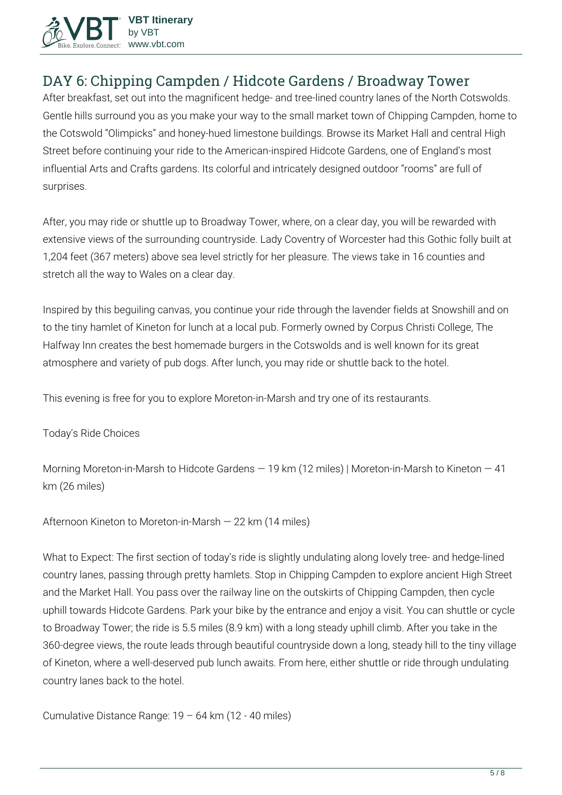

### **DAY 6: Chipping Campden / Hidcote Gardens / Broadway Tower**

After breakfast, set out into the magnificent hedge- and tree-lined country lanes of the North Cotswolds. Gentle hills surround you as you make your way to the small market town of Chipping Campden, home to the Cotswold "Olimpicks" and honey-hued limestone buildings. Browse its Market Hall and central High Street before continuing your ride to the American-inspired Hidcote Gardens, one of England's most influential Arts and Crafts gardens. Its colorful and intricately designed outdoor "rooms" are full of surprises.

After, you may ride or shuttle up to Broadway Tower, where, on a clear day, you will be rewarded with extensive views of the surrounding countryside. Lady Coventry of Worcester had this Gothic folly built at 1,204 feet (367 meters) above sea level strictly for her pleasure. The views take in 16 counties and stretch all the way to Wales on a clear day.

Inspired by this beguiling canvas, you continue your ride through the lavender fields at Snowshill and on to the tiny hamlet of Kineton for lunch at a local pub. Formerly owned by Corpus Christi College, The Halfway Inn creates the best homemade burgers in the Cotswolds and is well known for its great atmosphere and variety of pub dogs. After lunch, you may ride or shuttle back to the hotel.

This evening is free for you to explore Moreton-in-Marsh and try one of its restaurants.

#### **Today's Ride Choices**

**Morning** Moreton-in-Marsh to Hidcote Gardens — 19 km (12 miles) | Moreton-in-Marsh to Kineton — 41 km (26 miles)

**Afternoon** Kineton to Moreton-in-Marsh — 22 km (14 miles)

**What to Expect:** The first section of today's ride is slightly undulating along lovely tree- and hedge-lined country lanes, passing through pretty hamlets. Stop in Chipping Campden to explore ancient High Street and the Market Hall. You pass over the railway line on the outskirts of Chipping Campden, then cycle uphill towards Hidcote Gardens. Park your bike by the entrance and enjoy a visit. You can shuttle or cycle to Broadway Tower; the ride is 5.5 miles (8.9 km) with a long steady uphill climb. After you take in the 360-degree views, the route leads through beautiful countryside down a long, steady hill to the tiny village of Kineton, where a well-deserved pub lunch awaits. From here, either shuttle or ride through undulating country lanes back to the hotel.

**Cumulative Distance Range:** 19 – 64 km (12 - 40 miles)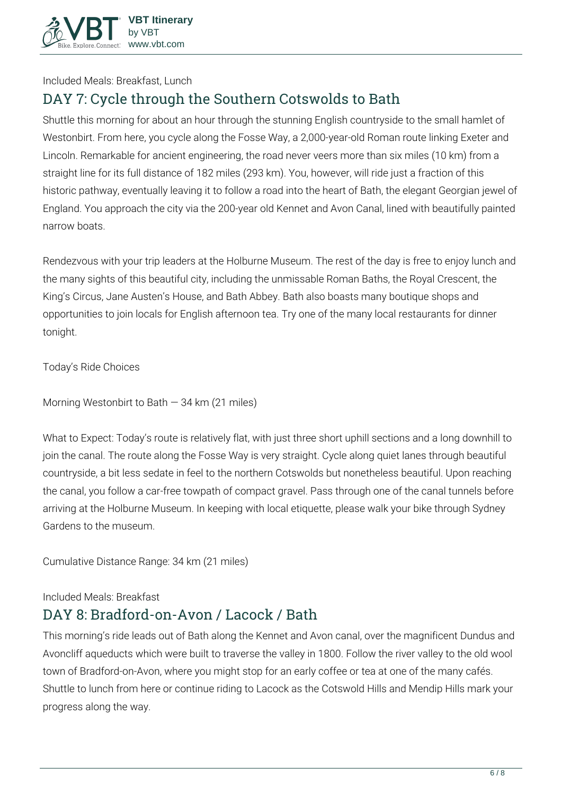

**Included Meals:** Breakfast, Lunch

## **DAY 7: Cycle through the Southern Cotswolds to Bath**

Shuttle this morning for about an hour through the stunning English countryside to the small hamlet of Westonbirt. From here, you cycle along the Fosse Way, a 2,000-year-old Roman route linking Exeter and Lincoln. Remarkable for ancient engineering, the road never veers more than six miles (10 km) from a straight line for its full distance of 182 miles (293 km). You, however, will ride just a fraction of this historic pathway, eventually leaving it to follow a road into the heart of Bath, the elegant Georgian jewel of England. You approach the city via the 200-year old Kennet and Avon Canal, lined with beautifully painted narrow boats.

Rendezvous with your trip leaders at the Holburne Museum. The rest of the day is free to enjoy lunch and the many sights of this beautiful city, including the unmissable Roman Baths, the Royal Crescent, the King's Circus, Jane Austen's House, and Bath Abbey. Bath also boasts many boutique shops and opportunities to join locals for English afternoon tea. Try one of the many local restaurants for dinner tonight.

**Today's Ride Choices**

**Morning** Westonbirt to Bath — 34 km (21 miles)

**What to Expect:** Today's route is relatively flat, with just three short uphill sections and a long downhill to join the canal. The route along the Fosse Way is very straight. Cycle along quiet lanes through beautiful countryside, a bit less sedate in feel to the northern Cotswolds but nonetheless beautiful. Upon reaching the canal, you follow a car-free towpath of compact gravel. Pass through one of the canal tunnels before arriving at the Holburne Museum. In keeping with local etiquette, please walk your bike through Sydney Gardens to the museum.

**Cumulative Distance Range:** 34 km (21 miles)

**Included Meals:** Breakfast

#### **DAY 8: Bradford-on-Avon / Lacock / Bath**

This morning's ride leads out of Bath along the Kennet and Avon canal, over the magnificent Dundus and Avoncliff aqueducts which were built to traverse the valley in 1800. Follow the river valley to the old wool town of Bradford-on-Avon, where you might stop for an early coffee or tea at one of the many cafés. Shuttle to lunch from here or continue riding to Lacock as the Cotswold Hills and Mendip Hills mark your progress along the way.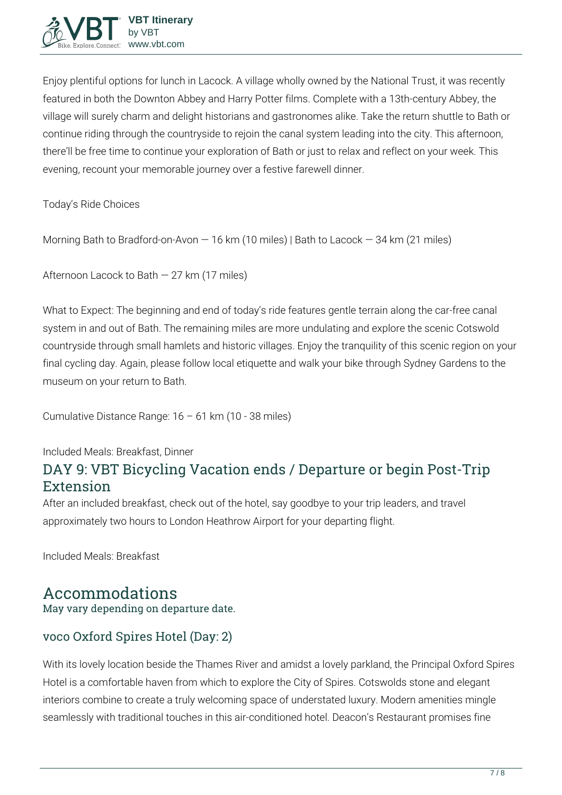

Enjoy plentiful options for lunch in Lacock. A village wholly owned by the National Trust, it was recently featured in both the Downton Abbey and Harry Potter films. Complete with a 13th-century Abbey, the village will surely charm and delight historians and gastronomes alike. Take the return shuttle to Bath or continue riding through the countryside to rejoin the canal system leading into the city. This afternoon, there'll be free time to continue your exploration of Bath or just to relax and reflect on your week. This evening, recount your memorable journey over a festive farewell dinner.

**Today's Ride Choices**

**Morning** Bath to Bradford-on-Avon — 16 km (10 miles) | Bath to Lacock — 34 km (21 miles)

**Afternoon** Lacock to Bath — 27 km (17 miles)

**What to Expect:** The beginning and end of today's ride features gentle terrain along the car-free canal system in and out of Bath. The remaining miles are more undulating and explore the scenic Cotswold countryside through small hamlets and historic villages. Enjoy the tranquility of this scenic region on your final cycling day. Again, please follow local etiquette and walk your bike through Sydney Gardens to the museum on your return to Bath.

**Cumulative Distance Range:** 16 – 61 km (10 - 38 miles)

**Included Meals:** Breakfast, Dinner

### **DAY 9: VBT Bicycling Vacation ends / Departure or begin Post-Trip Extension**

After an included breakfast, check out of the hotel, say goodbye to your trip leaders, and travel approximately two hours to London Heathrow Airport for your departing flight.

**Included Meals:** Breakfast

### **Accommodations**

May vary depending on departure date.

#### voco Oxford Spires Hotel (Day: 2)

With its lovely location beside the Thames River and amidst a lovely parkland, the Principal Oxford Spires Hotel is a comfortable haven from which to explore the City of Spires. Cotswolds stone and elegant interiors combine to create a truly welcoming space of understated luxury. Modern amenities mingle seamlessly with traditional touches in this air-conditioned hotel. Deacon's Restaurant promises fine